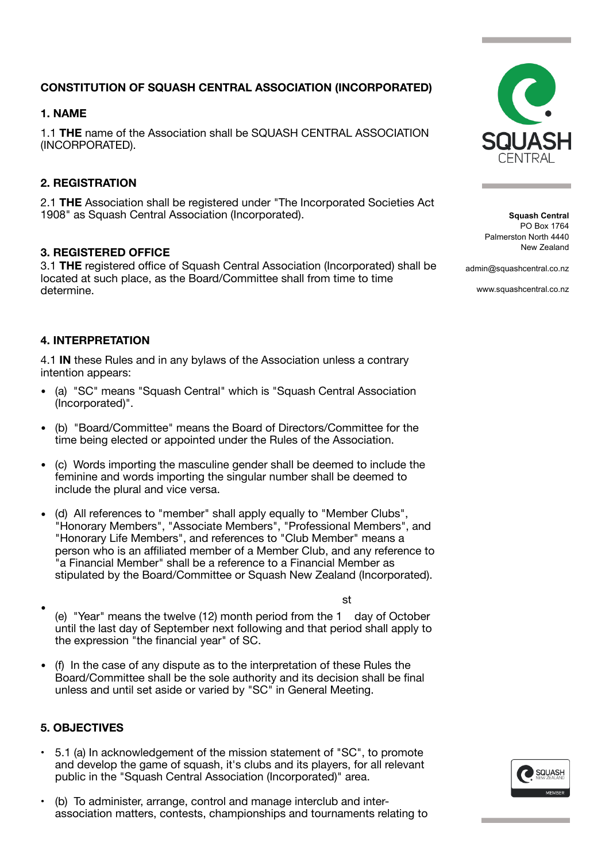# **CONSTITUTION OF SQUASH CENTRAL ASSOCIATION (INCORPORATED)**

# **1. NAME**

1.1 **THE** name of the Association shall be SQUASH CENTRAL ASSOCIATION (INCORPORATED).

# **2. REGISTRATION**

2.1 **THE** Association shall be registered under "The Incorporated Societies Act 1908" as Squash Central Association (Incorporated).

## **3. REGISTERED OFFICE**

3.1 **THE** registered office of Squash Central Association (Incorporated) shall be located at such place, as the Board/Committee shall from time to time determine.

## **4. INTERPRETATION**

4.1 **IN** these Rules and in any bylaws of the Association unless a contrary intention appears:

- (a) "SC" means "Squash Central" which is "Squash Central Association (Incorporated)".
- (b) "Board/Committee" means the Board of Directors/Committee for the time being elected or appointed under the Rules of the Association.
- (c) Words importing the masculine gender shall be deemed to include the feminine and words importing the singular number shall be deemed to include the plural and vice versa.
- (d) All references to "member" shall apply equally to "Member Clubs", "Honorary Members", "Associate Members", "Professional Members", and "Honorary Life Members", and references to "Club Member" means a person who is an affiliated member of a Member Club, and any reference to 'a Financial Member" shall be a reference to a Financial Member as stipulated by the Board/Committee or Squash New Zealand (Incorporated).
- (e) "Year" means the twelve (12) month period from the 1 st day of October until the last day of September next following and that period shall apply to the expression "the financial year" of SC.
- (f) In the case of any dispute as to the interpretation of these Rules the Board/Committee shall be the sole authority and its decision shall be final unless and until set aside or varied by "SC" in General Meeting.

## **5. OBJECTIVES**

- 5.1 (a) In acknowledgement of the mission statement of "SC", to promote and develop the game of squash, it's clubs and its players, for all relevant public in the "Squash Central Association (Incorporated)" area.
- (b) To administer, arrange, control and manage interclub and interassociation matters, contests, championships and tournaments relating to



and the state of the state

**Squash Central** PO Box 1764 Palmerston North 4440 New Zealand

admin@squashcentral.co.nz

www.squashcentral.co.nz

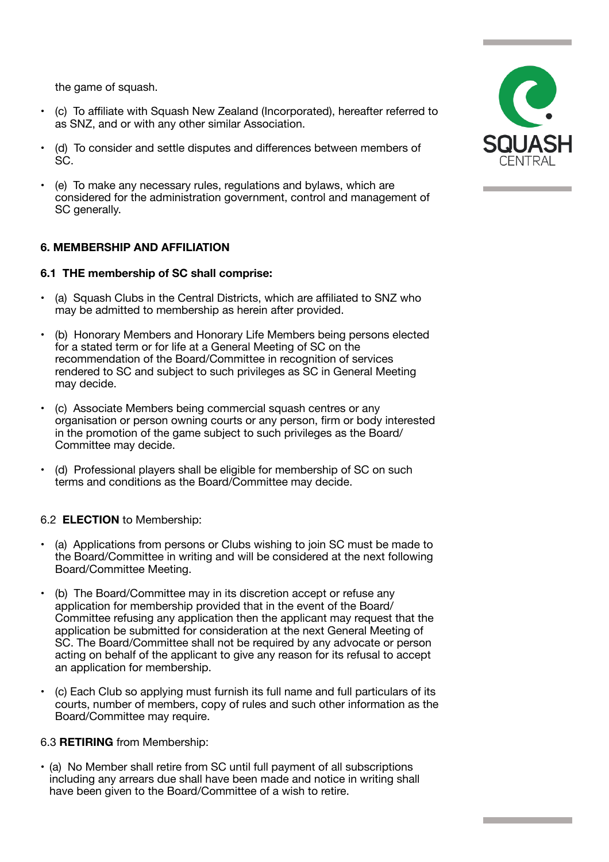the game of squash.

- (c) To affiliate with Squash New Zealand (Incorporated), hereafter referred to as SNZ, and or with any other similar Association.
- (d) To consider and settle disputes and differences between members of SC.
- (e) To make any necessary rules, regulations and bylaws, which are considered for the administration government, control and management of SC generally.

## **6. MEMBERSHIP AND AFFILIATION**

#### **6.1 THE membership of SC shall comprise:**

- (a) Squash Clubs in the Central Districts, which are affiliated to SNZ who may be admitted to membership as herein after provided.
- (b) Honorary Members and Honorary Life Members being persons elected for a stated term or for life at a General Meeting of SC on the recommendation of the Board/Committee in recognition of services rendered to SC and subject to such privileges as SC in General Meeting may decide.
- (c) Associate Members being commercial squash centres or any organisation or person owning courts or any person, firm or body interested in the promotion of the game subject to such privileges as the Board/ Committee may decide.
- (d) Professional players shall be eligible for membership of SC on such terms and conditions as the Board/Committee may decide.

#### 6.2 **ELECTION** to Membership:

- (a) Applications from persons or Clubs wishing to join SC must be made to the Board/Committee in writing and will be considered at the next following Board/Committee Meeting.
- (b) The Board/Committee may in its discretion accept or refuse any application for membership provided that in the event of the Board/ Committee refusing any application then the applicant may request that the application be submitted for consideration at the next General Meeting of SC. The Board/Committee shall not be required by any advocate or person acting on behalf of the applicant to give any reason for its refusal to accept an application for membership.
- (c) Each Club so applying must furnish its full name and full particulars of its courts, number of members, copy of rules and such other information as the Board/Committee may require.

#### 6.3 **RETIRING** from Membership:

• (a) No Member shall retire from SC until full payment of all subscriptions including any arrears due shall have been made and notice in writing shall have been given to the Board/Committee of a wish to retire.

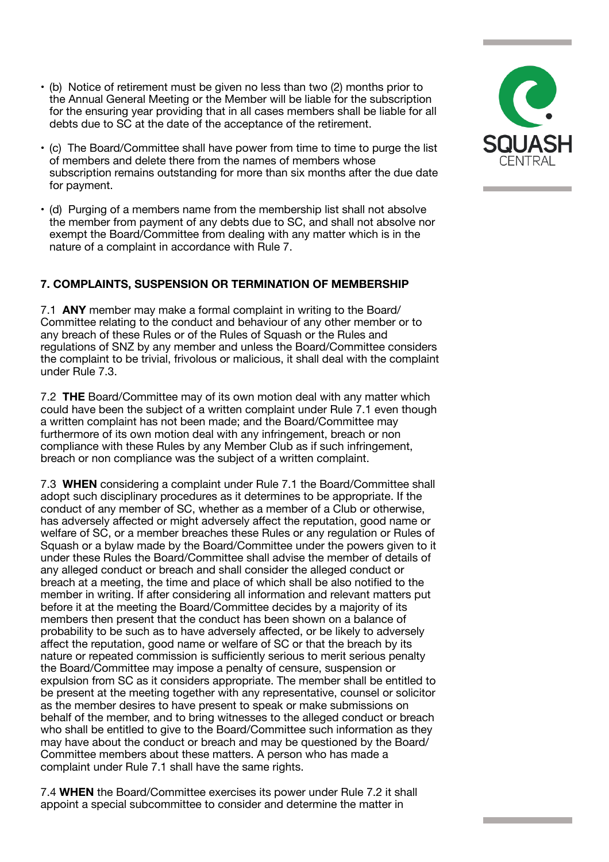- (b) Notice of retirement must be given no less than two (2) months prior to the Annual General Meeting or the Member will be liable for the subscription for the ensuring year providing that in all cases members shall be liable for all debts due to SC at the date of the acceptance of the retirement.
- (c) The Board/Committee shall have power from time to time to purge the list of members and delete there from the names of members whose subscription remains outstanding for more than six months after the due date for payment.
- (d) Purging of a members name from the membership list shall not absolve the member from payment of any debts due to SC, and shall not absolve nor exempt the Board/Committee from dealing with any matter which is in the nature of a complaint in accordance with Rule 7.

## **7. COMPLAINTS, SUSPENSION OR TERMINATION OF MEMBERSHIP**

7.1 **ANY** member may make a formal complaint in writing to the Board/ Committee relating to the conduct and behaviour of any other member or to any breach of these Rules or of the Rules of Squash or the Rules and regulations of SNZ by any member and unless the Board/Committee considers the complaint to be trivial, frivolous or malicious, it shall deal with the complaint under Rule 7.3.

7.2 **THE** Board/Committee may of its own motion deal with any matter which could have been the subject of a written complaint under Rule 7.1 even though a written complaint has not been made; and the Board/Committee may furthermore of its own motion deal with any infringement, breach or non compliance with these Rules by any Member Club as if such infringement, breach or non compliance was the subject of a written complaint.

7.3 **WHEN** considering a complaint under Rule 7.1 the Board/Committee shall adopt such disciplinary procedures as it determines to be appropriate. If the conduct of any member of SC, whether as a member of a Club or otherwise, has adversely affected or might adversely affect the reputation, good name or welfare of SC, or a member breaches these Rules or any regulation or Rules of Squash or a bylaw made by the Board/Committee under the powers given to it under these Rules the Board/Committee shall advise the member of details of any alleged conduct or breach and shall consider the alleged conduct or breach at a meeting, the time and place of which shall be also notified to the member in writing. If after considering all information and relevant matters put before it at the meeting the Board/Committee decides by a majority of its members then present that the conduct has been shown on a balance of probability to be such as to have adversely affected, or be likely to adversely affect the reputation, good name or welfare of SC or that the breach by its nature or repeated commission is sufficiently serious to merit serious penalty the Board/Committee may impose a penalty of censure, suspension or expulsion from SC as it considers appropriate. The member shall be entitled to be present at the meeting together with any representative, counsel or solicitor as the member desires to have present to speak or make submissions on behalf of the member, and to bring witnesses to the alleged conduct or breach who shall be entitled to give to the Board/Committee such information as they may have about the conduct or breach and may be questioned by the Board/ Committee members about these matters. A person who has made a complaint under Rule 7.1 shall have the same rights.

7.4 **WHEN** the Board/Committee exercises its power under Rule 7.2 it shall appoint a special subcommittee to consider and determine the matter in

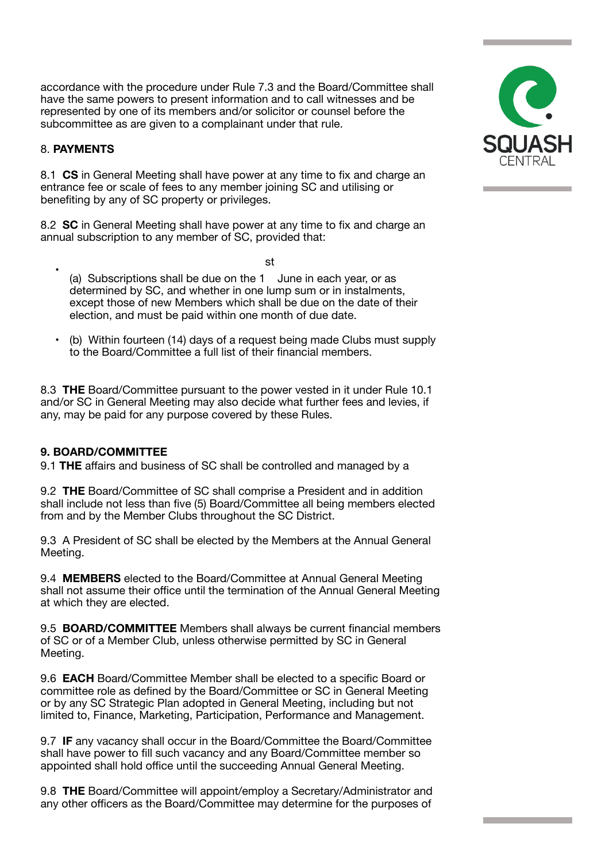accordance with the procedure under Rule 7.3 and the Board/Committee shall have the same powers to present information and to call witnesses and be represented by one of its members and/or solicitor or counsel before the subcommittee as are given to a complainant under that rule.

#### 8. **PAYMENTS**

8.1 **CS** in General Meeting shall have power at any time to fix and charge an entrance fee or scale of fees to any member joining SC and utilising or benefiting by any of SC property or privileges.

8.2 **SC** in General Meeting shall have power at any time to fix and charge an annual subscription to any member of SC, provided that:

st

- (a) Subscriptions shall be due on the 1 June in each year, or as determined by SC, and whether in one lump sum or in instalments, except those of new Members which shall be due on the date of their election, and must be paid within one month of due date.
- (b) Within fourteen (14) days of a request being made Clubs must supply to the Board/Committee a full list of their financial members.

8.3 **THE** Board/Committee pursuant to the power vested in it under Rule 10.1 and/or SC in General Meeting may also decide what further fees and levies, if any, may be paid for any purpose covered by these Rules.

## **9. BOARD/COMMITTEE**

9.1 **THE** affairs and business of SC shall be controlled and managed by a

9.2 **THE** Board/Committee of SC shall comprise a President and in addition shall include not less than five (5) Board/Committee all being members elected from and by the Member Clubs throughout the SC District.

9.3 A President of SC shall be elected by the Members at the Annual General Meeting.

9.4 **MEMBERS** elected to the Board/Committee at Annual General Meeting shall not assume their office until the termination of the Annual General Meeting at which they are elected.

9.5 **BOARD/COMMITTEE** Members shall always be current financial members of SC or of a Member Club, unless otherwise permitted by SC in General Meeting.

9.6 **EACH** Board/Committee Member shall be elected to a specific Board or committee role as defined by the Board/Committee or SC in General Meeting or by any SC Strategic Plan adopted in General Meeting, including but not limited to, Finance, Marketing, Participation, Performance and Management.

9.7 **IF** any vacancy shall occur in the Board/Committee the Board/Committee shall have power to fill such vacancy and any Board/Committee member so appointed shall hold office until the succeeding Annual General Meeting.

9.8 **THE** Board/Committee will appoint/employ a Secretary/Administrator and any other officers as the Board/Committee may determine for the purposes of

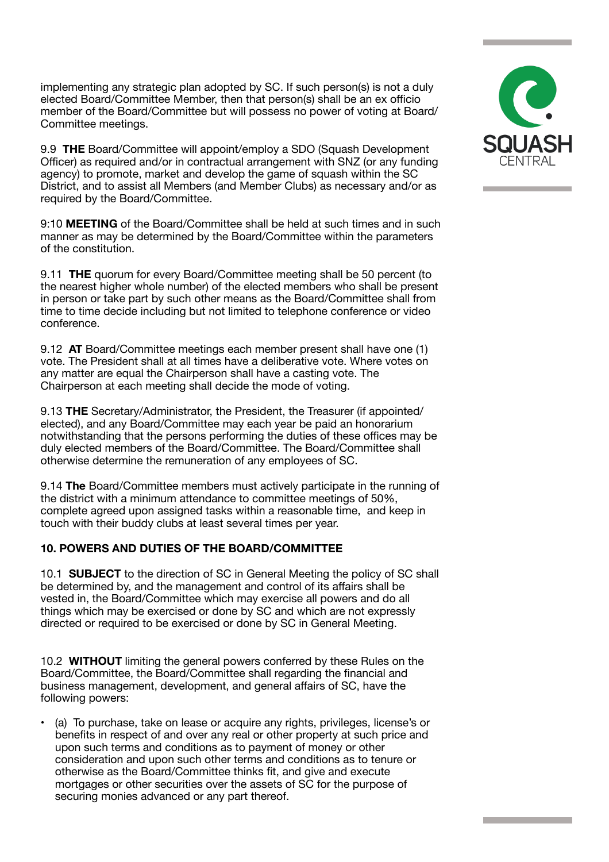implementing any strategic plan adopted by SC. If such person(s) is not a duly elected Board/Committee Member, then that person(s) shall be an ex officio member of the Board/Committee but will possess no power of voting at Board/ Committee meetings.

9.9 **THE** Board/Committee will appoint/employ a SDO (Squash Development Officer) as required and/or in contractual arrangement with SNZ (or any funding agency) to promote, market and develop the game of squash within the SC District, and to assist all Members (and Member Clubs) as necessary and/or as required by the Board/Committee.

9:10 **MEETING** of the Board/Committee shall be held at such times and in such manner as may be determined by the Board/Committee within the parameters of the constitution.

9.11 **THE** quorum for every Board/Committee meeting shall be 50 percent (to the nearest higher whole number) of the elected members who shall be present in person or take part by such other means as the Board/Committee shall from time to time decide including but not limited to telephone conference or video conference.

9.12 **AT** Board/Committee meetings each member present shall have one (1) vote. The President shall at all times have a deliberative vote. Where votes on any matter are equal the Chairperson shall have a casting vote. The Chairperson at each meeting shall decide the mode of voting.

9.13 **THE** Secretary/Administrator, the President, the Treasurer (if appointed/ elected), and any Board/Committee may each year be paid an honorarium notwithstanding that the persons performing the duties of these offices may be duly elected members of the Board/Committee. The Board/Committee shall otherwise determine the remuneration of any employees of SC.

9.14 **The** Board/Committee members must actively participate in the running of the district with a minimum attendance to committee meetings of 50%, complete agreed upon assigned tasks within a reasonable time, and keep in touch with their buddy clubs at least several times per year.

## **10. POWERS AND DUTIES OF THE BOARD/COMMITTEE**

10.1 **SUBJECT** to the direction of SC in General Meeting the policy of SC shall be determined by, and the management and control of its affairs shall be vested in, the Board/Committee which may exercise all powers and do all things which may be exercised or done by SC and which are not expressly directed or required to be exercised or done by SC in General Meeting.

10.2 **WITHOUT** limiting the general powers conferred by these Rules on the Board/Committee, the Board/Committee shall regarding the financial and business management, development, and general affairs of SC, have the following powers:

• (a) To purchase, take on lease or acquire any rights, privileges, license's or benefits in respect of and over any real or other property at such price and upon such terms and conditions as to payment of money or other consideration and upon such other terms and conditions as to tenure or otherwise as the Board/Committee thinks fit, and give and execute mortgages or other securities over the assets of SC for the purpose of securing monies advanced or any part thereof.

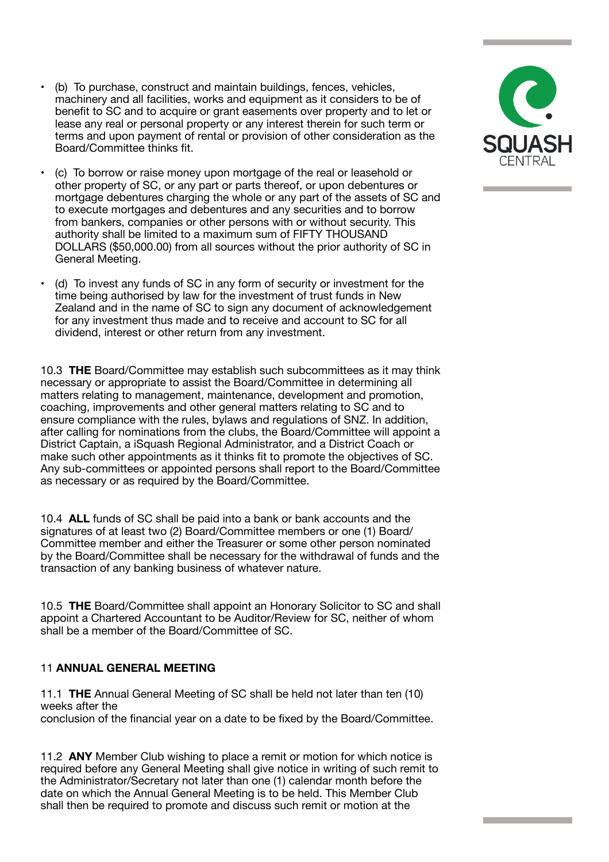- (b) To purchase, construct and maintain buildings, fences, vehicles, machinery and all facilities, works and equipment as it considers to be of benefit to SC and to acquire or grant easements over property and to let or lease any real or personal property or any interest therein for such term or terms and upon payment of rental or provision of other consideration as the Board/Committee thinks fit.
- (c) To borrow or raise money upon mortgage of the real or leasehold or other property of SC, or any part or parts thereof, or upon debentures or mortgage debentures charging the whole or any part of the assets of SC and to execute mortgages and debentures and any securities and to borrow from bankers, companies or other persons with or without security. This authority shall be limited to a maximum sum of FIFTY THOUSAND DOLLARS (\$50,000.00) from all sources without the prior authority of SC in General Meeting.
- (d) To invest any funds of SC in any form of security or investment for the time being authorised by law for the investment of trust funds in New Zealand and in the name of SC to sign any document of acknowledgement for any investment thus made and to receive and account to SC for all dividend, interest or other return from any investment.

10.3 **THE** Board/Committee may establish such subcommittees as it may think necessary or appropriate to assist the Board/Committee in determining all matters relating to management, maintenance, development and promotion, coaching, improvements and other general matters relating to SC and to ensure compliance with the rules, bylaws and regulations of SNZ. In addition, after calling for nominations from the clubs, the Board/Committee will appoint a District Captain, a iSquash Regional Administrator, and a District Coach or make such other appointments as it thinks fit to promote the objectives of SC. Any sub-committees or appointed persons shall report to the Board/Committee as necessary or as required by the Board/Committee.

10.4 **ALL** funds of SC shall be paid into a bank or bank accounts and the signatures of at least two (2) Board/Committee members or one (1) Board/ Committee member and either the Treasurer or some other person nominated by the Board/Committee shall be necessary for the withdrawal of funds and the transaction of any banking business of whatever nature.

10.5 **THE** Board/Committee shall appoint an Honorary Solicitor to SC and shall appoint a Chartered Accountant to be Auditor/Review for SC, neither of whom shall be a member of the Board/Committee of SC.

## 11 **ANNUAL GENERAL MEETING**

11.1 **THE** Annual General Meeting of SC shall be held not later than ten (10) weeks after the conclusion of the financial year on a date to be fixed by the Board/Committee.

11.2 **ANY** Member Club wishing to place a remit or motion for which notice is required before any General Meeting shall give notice in writing of such remit to the Administrator/Secretary not later than one (1) calendar month before the date on which the Annual General Meeting is to be held. This Member Club shall then be required to promote and discuss such remit or motion at the

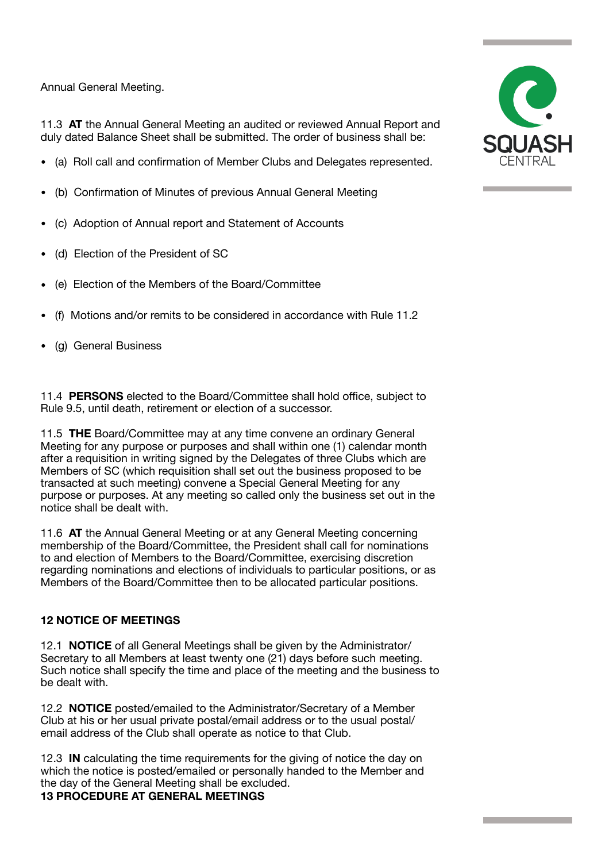Annual General Meeting.

11.3 **AT** the Annual General Meeting an audited or reviewed Annual Report and duly dated Balance Sheet shall be submitted. The order of business shall be:

- (a) Roll call and confirmation of Member Clubs and Delegates represented.
- (b) Confirmation of Minutes of previous Annual General Meeting
- (c) Adoption of Annual report and Statement of Accounts
- (d) Election of the President of SC
- (e) Election of the Members of the Board/Committee
- (f) Motions and/or remits to be considered in accordance with Rule 11.2
- (g) General Business

11.4 **PERSONS** elected to the Board/Committee shall hold office, subject to Rule 9.5, until death, retirement or election of a successor.

11.5 **THE** Board/Committee may at any time convene an ordinary General Meeting for any purpose or purposes and shall within one (1) calendar month after a requisition in writing signed by the Delegates of three Clubs which are Members of SC (which requisition shall set out the business proposed to be transacted at such meeting) convene a Special General Meeting for any purpose or purposes. At any meeting so called only the business set out in the notice shall be dealt with.

11.6 **AT** the Annual General Meeting or at any General Meeting concerning membership of the Board/Committee, the President shall call for nominations to and election of Members to the Board/Committee, exercising discretion regarding nominations and elections of individuals to particular positions, or as Members of the Board/Committee then to be allocated particular positions.

## **12 NOTICE OF MEETINGS**

12.1 **NOTICE** of all General Meetings shall be given by the Administrator/ Secretary to all Members at least twenty one (21) days before such meeting. Such notice shall specify the time and place of the meeting and the business to be dealt with.

12.2 **NOTICE** posted/emailed to the Administrator/Secretary of a Member Club at his or her usual private postal/email address or to the usual postal/ email address of the Club shall operate as notice to that Club.

12.3 **IN** calculating the time requirements for the giving of notice the day on which the notice is posted/emailed or personally handed to the Member and the day of the General Meeting shall be excluded.

## **13 PROCEDURE AT GENERAL MEETINGS**

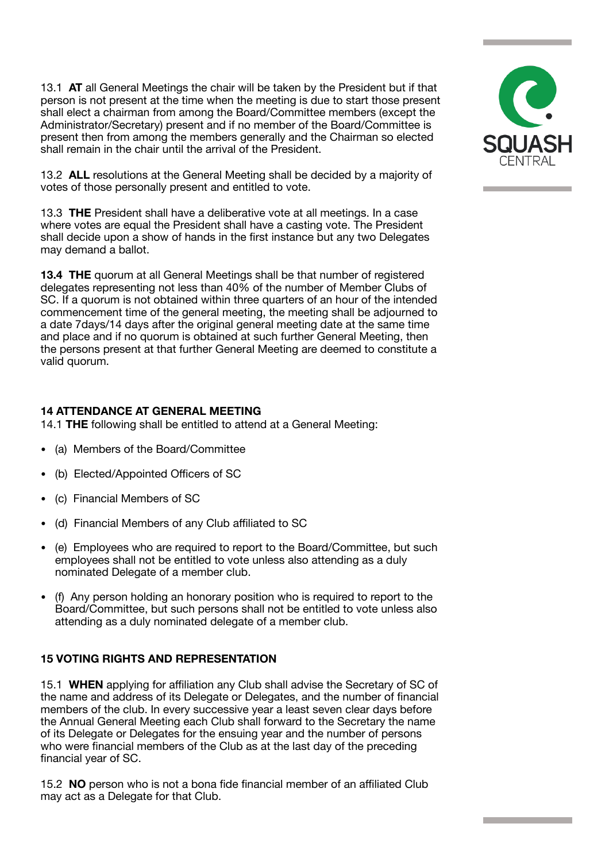13.1 **AT** all General Meetings the chair will be taken by the President but if that person is not present at the time when the meeting is due to start those present shall elect a chairman from among the Board/Committee members (except the Administrator/Secretary) present and if no member of the Board/Committee is present then from among the members generally and the Chairman so elected shall remain in the chair until the arrival of the President.

13.2 **ALL** resolutions at the General Meeting shall be decided by a majority of votes of those personally present and entitled to vote.

13.3 **THE** President shall have a deliberative vote at all meetings. In a case where votes are equal the President shall have a casting vote. The President shall decide upon a show of hands in the first instance but any two Delegates may demand a ballot.

**13.4 THE** quorum at all General Meetings shall be that number of registered delegates representing not less than 40% of the number of Member Clubs of SC. If a quorum is not obtained within three quarters of an hour of the intended commencement time of the general meeting, the meeting shall be adjourned to a date 7days/14 days after the original general meeting date at the same time and place and if no quorum is obtained at such further General Meeting, then the persons present at that further General Meeting are deemed to constitute a valid quorum.

## **14 ATTENDANCE AT GENERAL MEETING**

14.1 **THE** following shall be entitled to attend at a General Meeting:

- (a) Members of the Board/Committee
- (b) Elected/Appointed Officers of SC
- (c) Financial Members of SC
- (d) Financial Members of any Club affiliated to SC
- (e) Employees who are required to report to the Board/Committee, but such employees shall not be entitled to vote unless also attending as a duly nominated Delegate of a member club.
- (f) Any person holding an honorary position who is required to report to the Board/Committee, but such persons shall not be entitled to vote unless also attending as a duly nominated delegate of a member club.

## **15 VOTING RIGHTS AND REPRESENTATION**

15.1 **WHEN** applying for affiliation any Club shall advise the Secretary of SC of the name and address of its Delegate or Delegates, and the number of financial members of the club. In every successive year a least seven clear days before the Annual General Meeting each Club shall forward to the Secretary the name of its Delegate or Delegates for the ensuing year and the number of persons who were financial members of the Club as at the last day of the preceding financial year of SC.

15.2 **NO** person who is not a bona fide financial member of an affiliated Club may act as a Delegate for that Club.

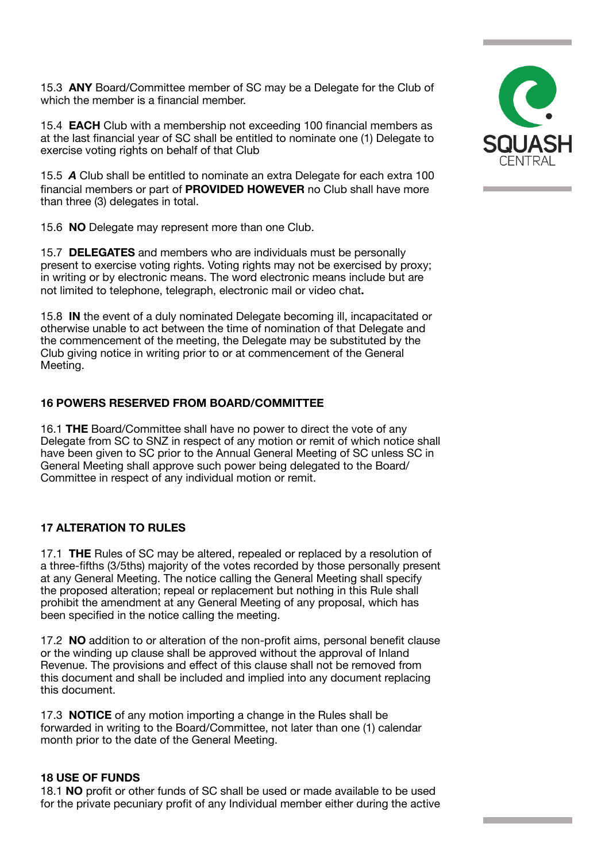15.3 **ANY** Board/Committee member of SC may be a Delegate for the Club of which the member is a financial member.

15.4 **EACH** Club with a membership not exceeding 100 financial members as at the last financial year of SC shall be entitled to nominate one (1) Delegate to exercise voting rights on behalf of that Club

15.5 *A* Club shall be entitled to nominate an extra Delegate for each extra 100 financial members or part of **PROVIDED HOWEVER** no Club shall have more than three (3) delegates in total.

15.6 **NO** Delegate may represent more than one Club.

15.7 **DELEGATES** and members who are individuals must be personally present to exercise voting rights. Voting rights may not be exercised by proxy; in writing or by electronic means. The word electronic means include but are not limited to telephone, telegraph, electronic mail or video chat**.** 

15.8 **IN** the event of a duly nominated Delegate becoming ill, incapacitated or otherwise unable to act between the time of nomination of that Delegate and the commencement of the meeting, the Delegate may be substituted by the Club giving notice in writing prior to or at commencement of the General Meeting.

#### **16 POWERS RESERVED FROM BOARD/COMMITTEE**

16.1 **THE** Board/Committee shall have no power to direct the vote of any Delegate from SC to SNZ in respect of any motion or remit of which notice shall have been given to SC prior to the Annual General Meeting of SC unless SC in General Meeting shall approve such power being delegated to the Board/ Committee in respect of any individual motion or remit.

## **17 ALTERATION TO RULES**

17.1 **THE** Rules of SC may be altered, repealed or replaced by a resolution of a three-fifths (3/5ths) majority of the votes recorded by those personally present at any General Meeting. The notice calling the General Meeting shall specify the proposed alteration; repeal or replacement but nothing in this Rule shall prohibit the amendment at any General Meeting of any proposal, which has been specified in the notice calling the meeting.

17.2 **NO** addition to or alteration of the non-profit aims, personal benefit clause or the winding up clause shall be approved without the approval of Inland Revenue. The provisions and effect of this clause shall not be removed from this document and shall be included and implied into any document replacing this document.

17.3 **NOTICE** of any motion importing a change in the Rules shall be forwarded in writing to the Board/Committee, not later than one (1) calendar month prior to the date of the General Meeting.

#### **18 USE OF FUNDS**

18.1 **NO** profit or other funds of SC shall be used or made available to be used for the private pecuniary profit of any Individual member either during the active